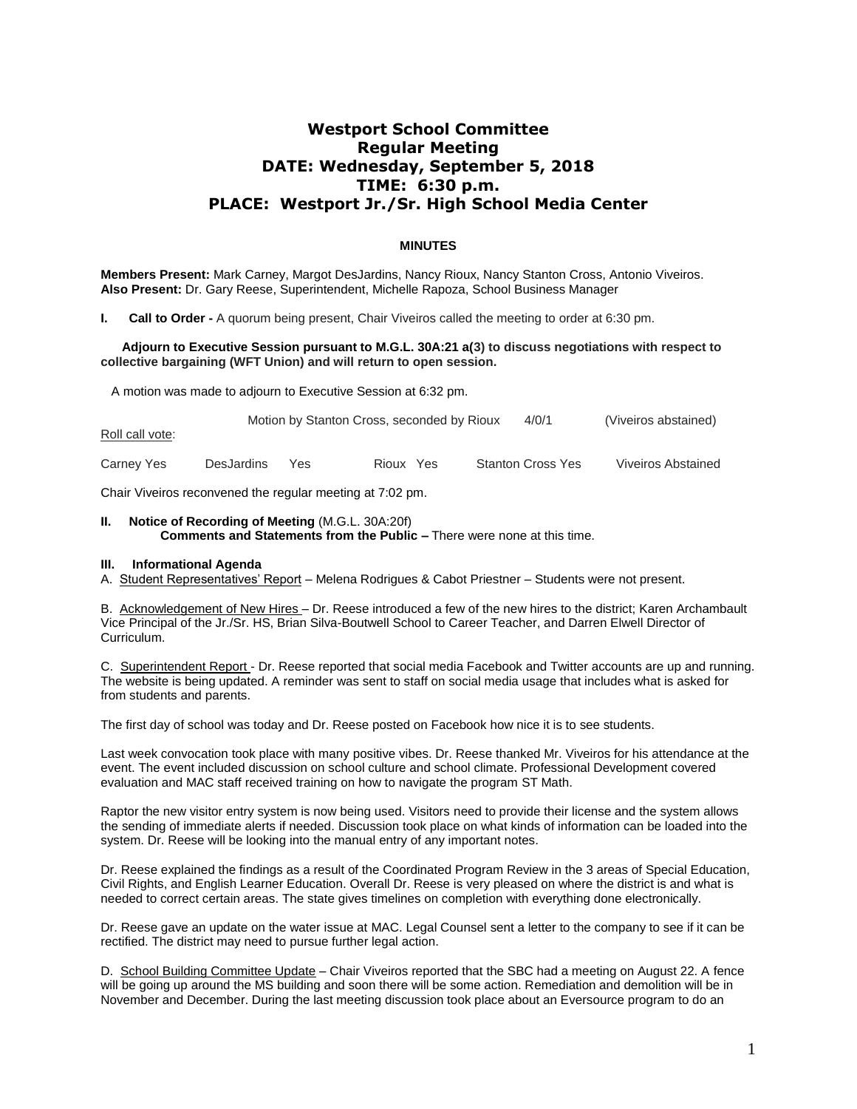# **Westport School Committee Regular Meeting DATE: Wednesday, September 5, 2018 TIME: 6:30 p.m. PLACE: Westport Jr./Sr. High School Media Center**

### **MINUTES**

**Members Present:** Mark Carney, Margot DesJardins, Nancy Rioux, Nancy Stanton Cross, Antonio Viveiros. **Also Present:** Dr. Gary Reese, Superintendent, Michelle Rapoza, School Business Manager

**I. Call to Order -** A quorum being present, Chair Viveiros called the meeting to order at 6:30 pm.

#### **Adjourn to Executive Session pursuant to M.G.L. 30A:21 a(3) to discuss negotiations with respect to collective bargaining (WFT Union) and will return to open session.**

A motion was made to adjourn to Executive Session at 6:32 pm.

| Roll call vote: |                   |     | Motion by Stanton Cross, seconded by Rioux | 4/0/1                    | (Viveiros abstained)      |
|-----------------|-------------------|-----|--------------------------------------------|--------------------------|---------------------------|
| Carney Yes      | <b>DesJardins</b> | Yes | Rioux Yes                                  | <b>Stanton Cross Yes</b> | <b>Viveiros Abstained</b> |

Chair Viveiros reconvened the regular meeting at 7:02 pm.

#### **II. Notice of Recording of Meeting** (M.G.L. 30A:20f) **Comments and Statements from the Public –** There were none at this time.

#### **III. Informational Agenda**

A. Student Representatives' Report – Melena Rodrigues & Cabot Priestner – Students were not present.

B. Acknowledgement of New Hires – Dr. Reese introduced a few of the new hires to the district; Karen Archambault Vice Principal of the Jr./Sr. HS, Brian Silva-Boutwell School to Career Teacher, and Darren Elwell Director of Curriculum.

C. Superintendent Report - Dr. Reese reported that social media Facebook and Twitter accounts are up and running. The website is being updated. A reminder was sent to staff on social media usage that includes what is asked for from students and parents.

The first day of school was today and Dr. Reese posted on Facebook how nice it is to see students.

Last week convocation took place with many positive vibes. Dr. Reese thanked Mr. Viveiros for his attendance at the event. The event included discussion on school culture and school climate. Professional Development covered evaluation and MAC staff received training on how to navigate the program ST Math.

Raptor the new visitor entry system is now being used. Visitors need to provide their license and the system allows the sending of immediate alerts if needed. Discussion took place on what kinds of information can be loaded into the system. Dr. Reese will be looking into the manual entry of any important notes.

Dr. Reese explained the findings as a result of the Coordinated Program Review in the 3 areas of Special Education, Civil Rights, and English Learner Education. Overall Dr. Reese is very pleased on where the district is and what is needed to correct certain areas. The state gives timelines on completion with everything done electronically.

Dr. Reese gave an update on the water issue at MAC. Legal Counsel sent a letter to the company to see if it can be rectified. The district may need to pursue further legal action.

D. School Building Committee Update – Chair Viveiros reported that the SBC had a meeting on August 22. A fence will be going up around the MS building and soon there will be some action. Remediation and demolition will be in November and December. During the last meeting discussion took place about an Eversource program to do an